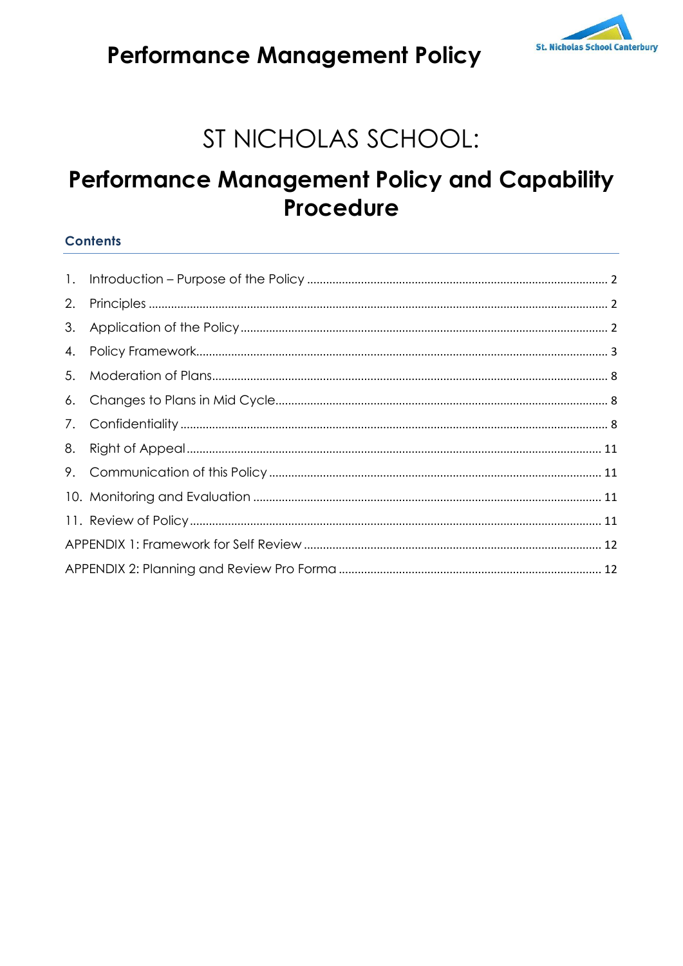

## **Performance Management Policy**

# ST NICHOLAS SCHOOL:

## **Performance Management Policy and Capability Procedure**

#### **Contents**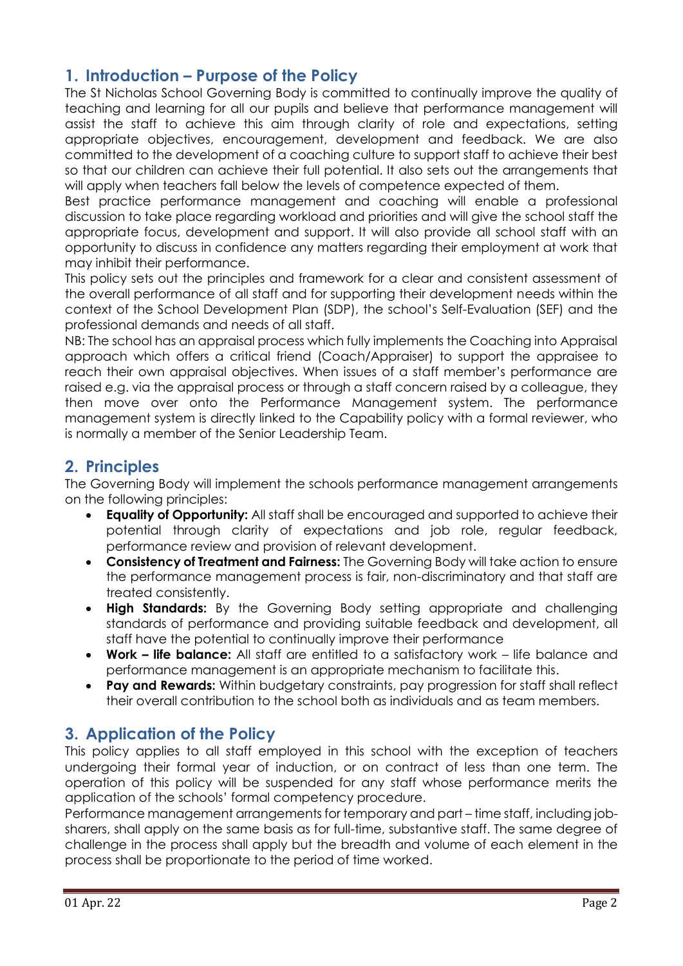## <span id="page-1-0"></span>**1. Introduction – Purpose of the Policy**

The St Nicholas School Governing Body is committed to continually improve the quality of teaching and learning for all our pupils and believe that performance management will assist the staff to achieve this aim through clarity of role and expectations, setting appropriate objectives, encouragement, development and feedback. We are also committed to the development of a coaching culture to support staff to achieve their best so that our children can achieve their full potential. It also sets out the arrangements that will apply when teachers fall below the levels of competence expected of them.

Best practice performance management and coaching will enable a professional discussion to take place regarding workload and priorities and will give the school staff the appropriate focus, development and support. It will also provide all school staff with an opportunity to discuss in confidence any matters regarding their employment at work that may inhibit their performance.

This policy sets out the principles and framework for a clear and consistent assessment of the overall performance of all staff and for supporting their development needs within the context of the School Development Plan (SDP), the school's Self-Evaluation (SEF) and the professional demands and needs of all staff.

NB: The school has an appraisal process which fully implements the Coaching into Appraisal approach which offers a critical friend (Coach/Appraiser) to support the appraisee to reach their own appraisal objectives. When issues of a staff member's performance are raised e.g. via the appraisal process or through a staff concern raised by a colleague, they then move over onto the Performance Management system. The performance management system is directly linked to the Capability policy with a formal reviewer, who is normally a member of the Senior Leadership Team.

## <span id="page-1-1"></span>**2. Principles**

The Governing Body will implement the schools performance management arrangements on the following principles:

- **Equality of Opportunity:** All staff shall be encouraged and supported to achieve their potential through clarity of expectations and job role, regular feedback, performance review and provision of relevant development.
- **Consistency of Treatment and Fairness:** The Governing Body will take action to ensure the performance management process is fair, non-discriminatory and that staff are treated consistently.
- **High Standards:** By the Governing Body setting appropriate and challenging standards of performance and providing suitable feedback and development, all staff have the potential to continually improve their performance
- **Work – life balance:** All staff are entitled to a satisfactory work life balance and performance management is an appropriate mechanism to facilitate this.
- **Pay and Rewards:** Within budgetary constraints, pay progression for staff shall reflect their overall contribution to the school both as individuals and as team members.

## <span id="page-1-2"></span>**3. Application of the Policy**

This policy applies to all staff employed in this school with the exception of teachers undergoing their formal year of induction, or on contract of less than one term. The operation of this policy will be suspended for any staff whose performance merits the application of the schools' formal competency procedure.

Performance management arrangements for temporary and part – time staff, including jobsharers, shall apply on the same basis as for full-time, substantive staff. The same degree of challenge in the process shall apply but the breadth and volume of each element in the process shall be proportionate to the period of time worked.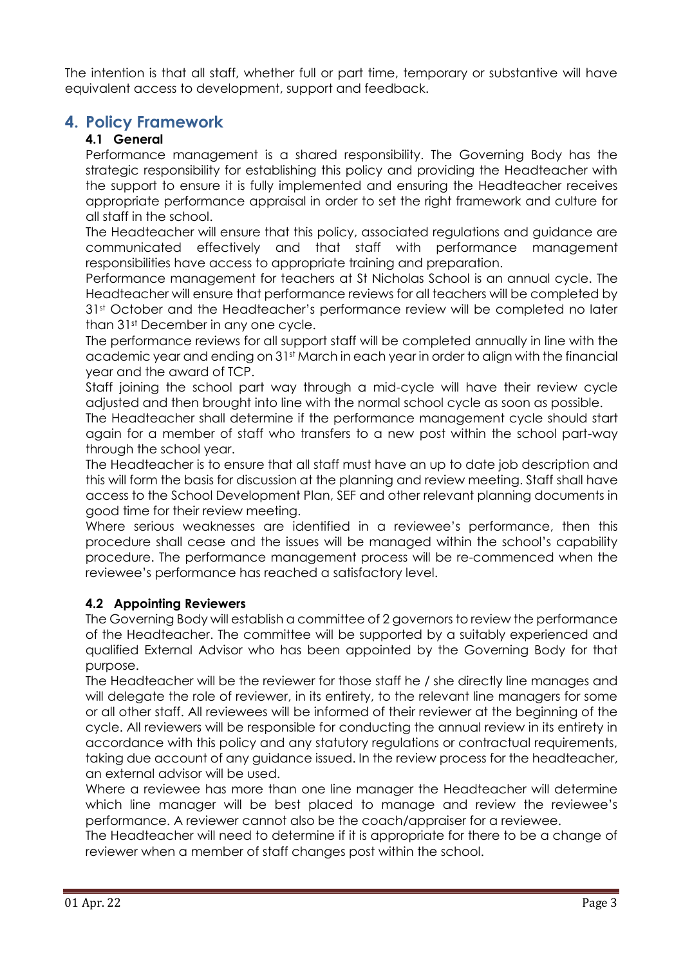The intention is that all staff, whether full or part time, temporary or substantive will have equivalent access to development, support and feedback.

## <span id="page-2-0"></span>**4. Policy Framework**

#### **4.1 General**

Performance management is a shared responsibility. The Governing Body has the strategic responsibility for establishing this policy and providing the Headteacher with the support to ensure it is fully implemented and ensuring the Headteacher receives appropriate performance appraisal in order to set the right framework and culture for all staff in the school.

The Headteacher will ensure that this policy, associated regulations and guidance are communicated effectively and that staff with performance management responsibilities have access to appropriate training and preparation.

Performance management for teachers at St Nicholas School is an annual cycle. The Headteacher will ensure that performance reviews for all teachers will be completed by 31st October and the Headteacher's performance review will be completed no later than 31st December in any one cycle.

The performance reviews for all support staff will be completed annually in line with the academic year and ending on 31st March in each year in order to align with the financial year and the award of TCP.

Staff joining the school part way through a mid-cycle will have their review cycle adjusted and then brought into line with the normal school cycle as soon as possible.

The Headteacher shall determine if the performance management cycle should start again for a member of staff who transfers to a new post within the school part-way through the school year.

The Headteacher is to ensure that all staff must have an up to date job description and this will form the basis for discussion at the planning and review meeting. Staff shall have access to the School Development Plan, SEF and other relevant planning documents in good time for their review meeting.

Where serious weaknesses are identified in a reviewee's performance, then this procedure shall cease and the issues will be managed within the school's capability procedure. The performance management process will be re-commenced when the reviewee's performance has reached a satisfactory level.

#### **4.2 Appointing Reviewers**

The Governing Body will establish a committee of 2 governors to review the performance of the Headteacher. The committee will be supported by a suitably experienced and qualified External Advisor who has been appointed by the Governing Body for that purpose.

The Headteacher will be the reviewer for those staff he / she directly line manages and will delegate the role of reviewer, in its entirety, to the relevant line managers for some or all other staff. All reviewees will be informed of their reviewer at the beginning of the cycle. All reviewers will be responsible for conducting the annual review in its entirety in accordance with this policy and any statutory regulations or contractual requirements, taking due account of any guidance issued. In the review process for the headteacher, an external advisor will be used.

Where a reviewee has more than one line manager the Headteacher will determine which line manager will be best placed to manage and review the reviewee's performance. A reviewer cannot also be the coach/appraiser for a reviewee.

The Headteacher will need to determine if it is appropriate for there to be a change of reviewer when a member of staff changes post within the school.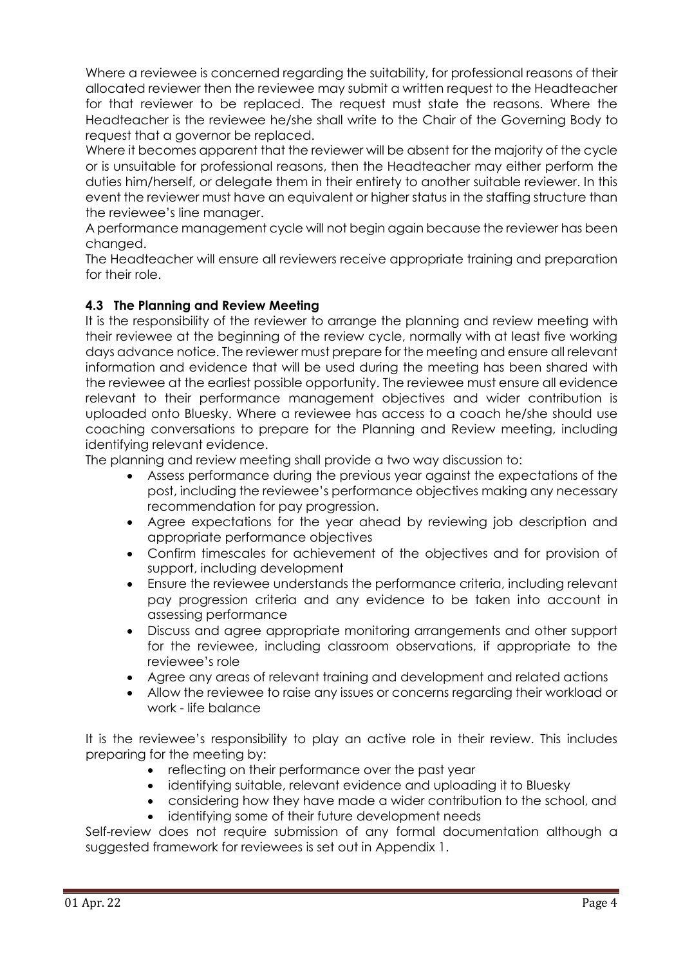Where a reviewee is concerned regarding the suitability, for professional reasons of their allocated reviewer then the reviewee may submit a written request to the Headteacher for that reviewer to be replaced. The request must state the reasons. Where the Headteacher is the reviewee he/she shall write to the Chair of the Governing Body to request that a governor be replaced.

Where it becomes apparent that the reviewer will be absent for the majority of the cycle or is unsuitable for professional reasons, then the Headteacher may either perform the duties him/herself, or delegate them in their entirety to another suitable reviewer. In this event the reviewer must have an equivalent or higher status in the staffing structure than the reviewee's line manager.

A performance management cycle will not begin again because the reviewer has been changed.

The Headteacher will ensure all reviewers receive appropriate training and preparation for their role.

#### **4.3 The Planning and Review Meeting**

It is the responsibility of the reviewer to arrange the planning and review meeting with their reviewee at the beginning of the review cycle, normally with at least five working days advance notice. The reviewer must prepare for the meeting and ensure all relevant information and evidence that will be used during the meeting has been shared with the reviewee at the earliest possible opportunity. The reviewee must ensure all evidence relevant to their performance management objectives and wider contribution is uploaded onto Bluesky. Where a reviewee has access to a coach he/she should use coaching conversations to prepare for the Planning and Review meeting, including identifying relevant evidence.

The planning and review meeting shall provide a two way discussion to:

- Assess performance during the previous year against the expectations of the post, including the reviewee's performance objectives making any necessary recommendation for pay progression.
- Agree expectations for the year ahead by reviewing job description and appropriate performance objectives
- Confirm timescales for achievement of the objectives and for provision of support, including development
- Ensure the reviewee understands the performance criteria, including relevant pay progression criteria and any evidence to be taken into account in assessing performance
- Discuss and agree appropriate monitoring arrangements and other support for the reviewee, including classroom observations, if appropriate to the reviewee's role
- Agree any areas of relevant training and development and related actions
- Allow the reviewee to raise any issues or concerns regarding their workload or work - life balance

It is the reviewee's responsibility to play an active role in their review. This includes preparing for the meeting by:

- reflecting on their performance over the past year
- identifying suitable, relevant evidence and uploading it to Bluesky
- considering how they have made a wider contribution to the school, and identifying some of their future development needs

Self-review does not require submission of any formal documentation although a suggested framework for reviewees is set out in Appendix 1.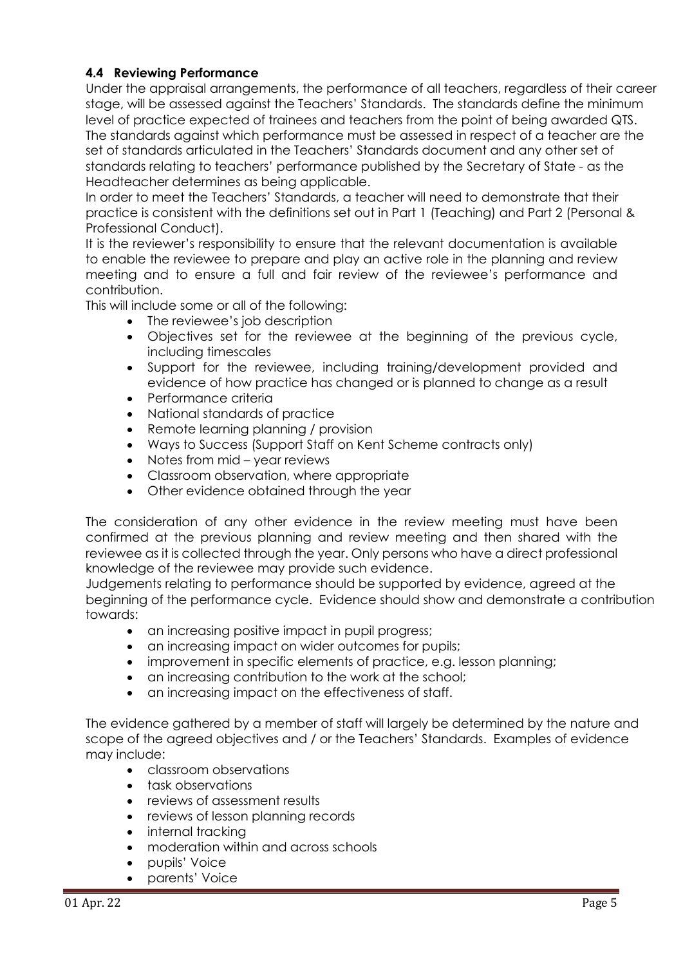#### **4.4 Reviewing Performance**

Under the appraisal arrangements, the performance of all teachers, regardless of their career stage, will be assessed against the Teachers' Standards. The standards define the minimum level of practice expected of trainees and teachers from the point of being awarded QTS. The standards against which performance must be assessed in respect of a teacher are the set of standards articulated in the Teachers' Standards document and any other set of standards relating to teachers' performance published by the Secretary of State - as the Headteacher determines as being applicable.

In order to meet the Teachers' Standards, a teacher will need to demonstrate that their practice is consistent with the definitions set out in Part 1 (Teaching) and Part 2 (Personal & Professional Conduct).

It is the reviewer's responsibility to ensure that the relevant documentation is available to enable the reviewee to prepare and play an active role in the planning and review meeting and to ensure a full and fair review of the reviewee's performance and contribution.

This will include some or all of the following:

- The reviewee's job description
- Objectives set for the reviewee at the beginning of the previous cycle, including timescales
- Support for the reviewee, including training/development provided and evidence of how practice has changed or is planned to change as a result
- Performance criteria
- National standards of practice
- Remote learning planning / provision
- Ways to Success (Support Staff on Kent Scheme contracts only)
- Notes from mid year reviews
- Classroom observation, where appropriate
- Other evidence obtained through the year

The consideration of any other evidence in the review meeting must have been confirmed at the previous planning and review meeting and then shared with the reviewee as it is collected through the year. Only persons who have a direct professional knowledge of the reviewee may provide such evidence.

Judgements relating to performance should be supported by evidence, agreed at the beginning of the performance cycle. Evidence should show and demonstrate a contribution towards:

- an increasing positive impact in pupil progress;
- an increasing impact on wider outcomes for pupils;
- improvement in specific elements of practice, e.g. lesson planning;
- an increasing contribution to the work at the school;
- an increasing impact on the effectiveness of staff.

The evidence gathered by a member of staff will largely be determined by the nature and scope of the agreed objectives and / or the Teachers' Standards. Examples of evidence may include:

- classroom observations
- task observations
- reviews of assessment results
- reviews of lesson planning records
- internal tracking
- moderation within and across schools
- pupils' Voice
- parents' Voice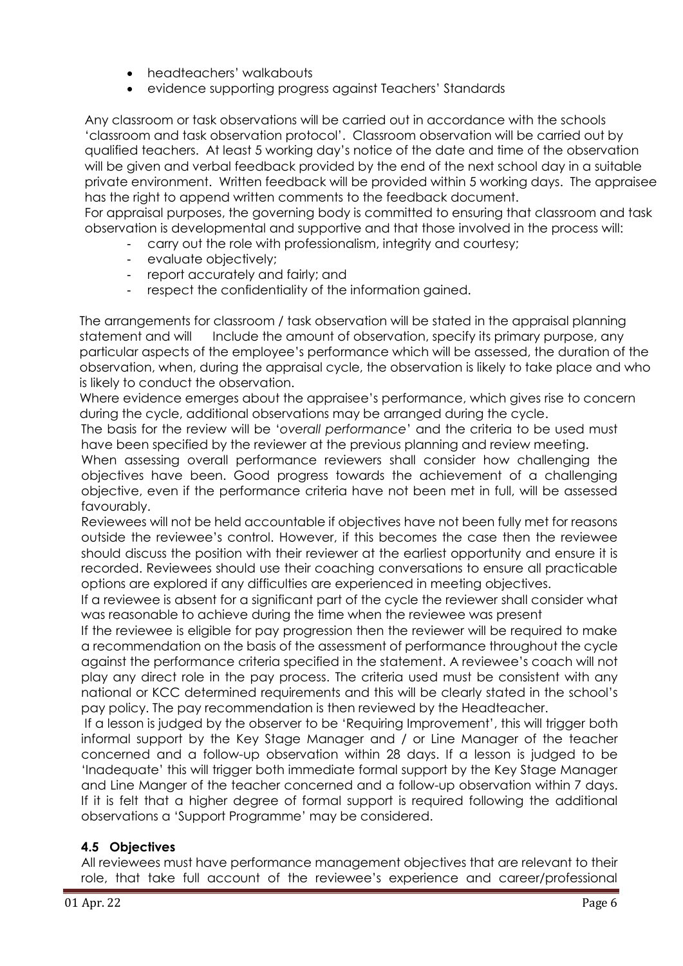- headteachers' walkabouts
- evidence supporting progress against Teachers' Standards

Any classroom or task observations will be carried out in accordance with the schools 'classroom and task observation protocol'. Classroom observation will be carried out by qualified teachers. At least 5 working day's notice of the date and time of the observation will be given and verbal feedback provided by the end of the next school day in a suitable private environment. Written feedback will be provided within 5 working days. The appraisee has the right to append written comments to the feedback document.

For appraisal purposes, the governing body is committed to ensuring that classroom and task observation is developmental and supportive and that those involved in the process will:

- carry out the role with professionalism, integrity and courtesy;
- evaluate objectively;
- report accurately and fairly; and
- respect the confidentiality of the information gained.

The arrangements for classroom / task observation will be stated in the appraisal planning statement and will Include the amount of observation, specify its primary purpose, any particular aspects of the employee's performance which will be assessed, the duration of the observation, when, during the appraisal cycle, the observation is likely to take place and who is likely to conduct the observation.

Where evidence emerges about the appraisee's performance, which gives rise to concern during the cycle, additional observations may be arranged during the cycle.

The basis for the review will be '*overall performance*' and the criteria to be used must have been specified by the reviewer at the previous planning and review meeting.

When assessing overall performance reviewers shall consider how challenging the objectives have been. Good progress towards the achievement of a challenging objective, even if the performance criteria have not been met in full, will be assessed favourably.

Reviewees will not be held accountable if objectives have not been fully met for reasons outside the reviewee's control. However, if this becomes the case then the reviewee should discuss the position with their reviewer at the earliest opportunity and ensure it is recorded. Reviewees should use their coaching conversations to ensure all practicable options are explored if any difficulties are experienced in meeting objectives.

If a reviewee is absent for a significant part of the cycle the reviewer shall consider what was reasonable to achieve during the time when the reviewee was present

If the reviewee is eligible for pay progression then the reviewer will be required to make a recommendation on the basis of the assessment of performance throughout the cycle against the performance criteria specified in the statement. A reviewee's coach will not play any direct role in the pay process. The criteria used must be consistent with any national or KCC determined requirements and this will be clearly stated in the school's pay policy. The pay recommendation is then reviewed by the Headteacher.

If a lesson is judged by the observer to be 'Requiring Improvement', this will trigger both informal support by the Key Stage Manager and / or Line Manager of the teacher concerned and a follow-up observation within 28 days. If a lesson is judged to be 'Inadequate' this will trigger both immediate formal support by the Key Stage Manager and Line Manger of the teacher concerned and a follow-up observation within 7 days. If it is felt that a higher degree of formal support is required following the additional observations a 'Support Programme' may be considered.

#### **4.5 Objectives**

All reviewees must have performance management objectives that are relevant to their role, that take full account of the reviewee's experience and career/professional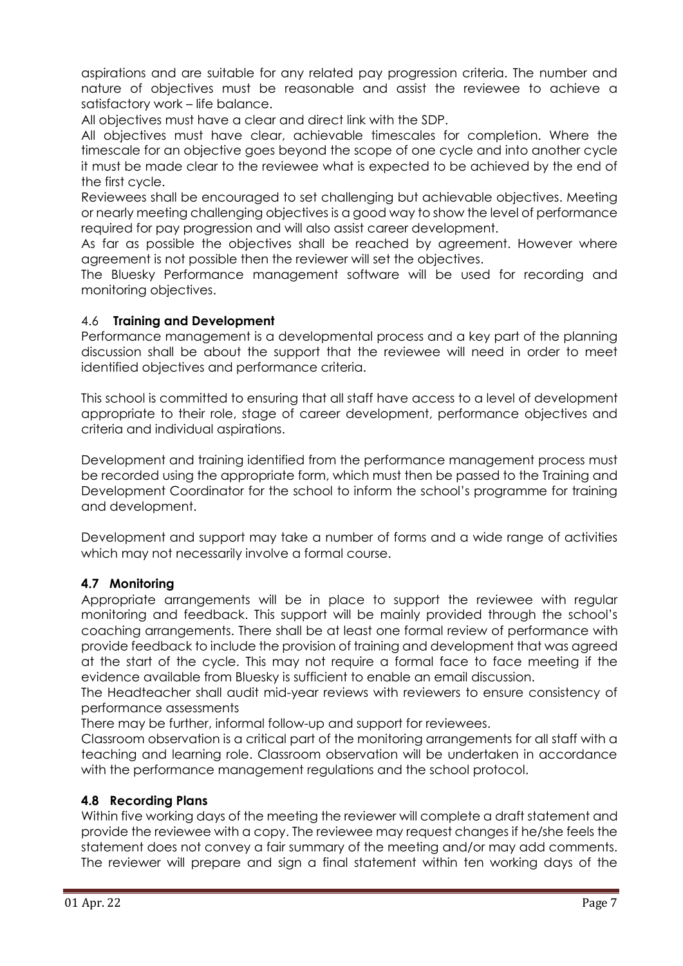aspirations and are suitable for any related pay progression criteria. The number and nature of objectives must be reasonable and assist the reviewee to achieve a satisfactory work – life balance.

All objectives must have a clear and direct link with the SDP.

All objectives must have clear, achievable timescales for completion. Where the timescale for an objective goes beyond the scope of one cycle and into another cycle it must be made clear to the reviewee what is expected to be achieved by the end of the first cycle.

Reviewees shall be encouraged to set challenging but achievable objectives. Meeting or nearly meeting challenging objectives is a good way to show the level of performance required for pay progression and will also assist career development.

As far as possible the objectives shall be reached by agreement. However where agreement is not possible then the reviewer will set the objectives.

The Bluesky Performance management software will be used for recording and monitoring objectives.

#### 4.6 **Training and Development**

Performance management is a developmental process and a key part of the planning discussion shall be about the support that the reviewee will need in order to meet identified objectives and performance criteria.

This school is committed to ensuring that all staff have access to a level of development appropriate to their role, stage of career development, performance objectives and criteria and individual aspirations.

Development and training identified from the performance management process must be recorded using the appropriate form, which must then be passed to the Training and Development Coordinator for the school to inform the school's programme for training and development.

Development and support may take a number of forms and a wide range of activities which may not necessarily involve a formal course.

#### **4.7 Monitoring**

Appropriate arrangements will be in place to support the reviewee with regular monitoring and feedback. This support will be mainly provided through the school's coaching arrangements. There shall be at least one formal review of performance with provide feedback to include the provision of training and development that was agreed at the start of the cycle. This may not require a formal face to face meeting if the evidence available from Bluesky is sufficient to enable an email discussion.

The Headteacher shall audit mid-year reviews with reviewers to ensure consistency of performance assessments

There may be further, informal follow-up and support for reviewees.

Classroom observation is a critical part of the monitoring arrangements for all staff with a teaching and learning role. Classroom observation will be undertaken in accordance with the performance management regulations and the school protocol.

#### **4.8 Recording Plans**

Within five working days of the meeting the reviewer will complete a draft statement and provide the reviewee with a copy. The reviewee may request changes if he/she feels the statement does not convey a fair summary of the meeting and/or may add comments. The reviewer will prepare and sign a final statement within ten working days of the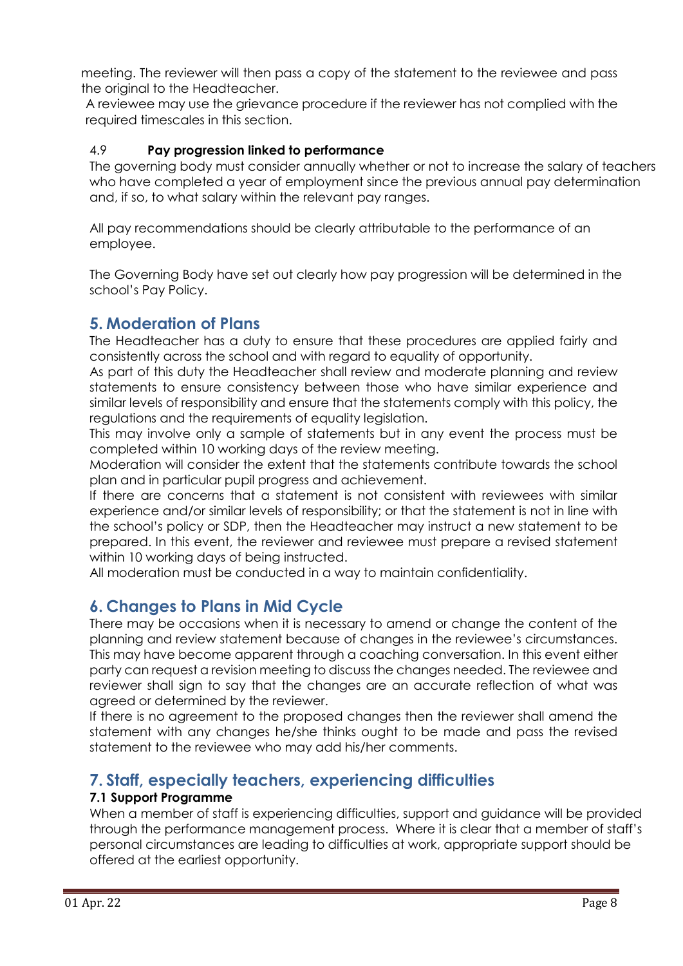meeting. The reviewer will then pass a copy of the statement to the reviewee and pass the original to the Headteacher.

A reviewee may use the grievance procedure if the reviewer has not complied with the required timescales in this section.

#### 4.9 **Pay progression linked to performance**

The governing body must consider annually whether or not to increase the salary of teachers who have completed a year of employment since the previous annual pay determination and, if so, to what salary within the relevant pay ranges.

All pay recommendations should be clearly attributable to the performance of an employee.

The Governing Body have set out clearly how pay progression will be determined in the school's Pay Policy.

## <span id="page-7-0"></span>**5. Moderation of Plans**

The Headteacher has a duty to ensure that these procedures are applied fairly and consistently across the school and with regard to equality of opportunity.

As part of this duty the Headteacher shall review and moderate planning and review statements to ensure consistency between those who have similar experience and similar levels of responsibility and ensure that the statements comply with this policy, the regulations and the requirements of equality legislation.

This may involve only a sample of statements but in any event the process must be completed within 10 working days of the review meeting.

Moderation will consider the extent that the statements contribute towards the school plan and in particular pupil progress and achievement.

If there are concerns that a statement is not consistent with reviewees with similar experience and/or similar levels of responsibility; or that the statement is not in line with the school's policy or SDP, then the Headteacher may instruct a new statement to be prepared. In this event, the reviewer and reviewee must prepare a revised statement within 10 working days of being instructed.

All moderation must be conducted in a way to maintain confidentiality.

## <span id="page-7-1"></span>**6. Changes to Plans in Mid Cycle**

There may be occasions when it is necessary to amend or change the content of the planning and review statement because of changes in the reviewee's circumstances. This may have become apparent through a coaching conversation. In this event either party can request a revision meeting to discuss the changes needed. The reviewee and reviewer shall sign to say that the changes are an accurate reflection of what was agreed or determined by the reviewer.

If there is no agreement to the proposed changes then the reviewer shall amend the statement with any changes he/she thinks ought to be made and pass the revised statement to the reviewee who may add his/her comments.

## <span id="page-7-2"></span>**7. Staff, especially teachers, experiencing difficulties**

#### **7.1 Support Programme**

When a member of staff is experiencing difficulties, support and guidance will be provided through the performance management process. Where it is clear that a member of staff's personal circumstances are leading to difficulties at work, appropriate support should be offered at the earliest opportunity.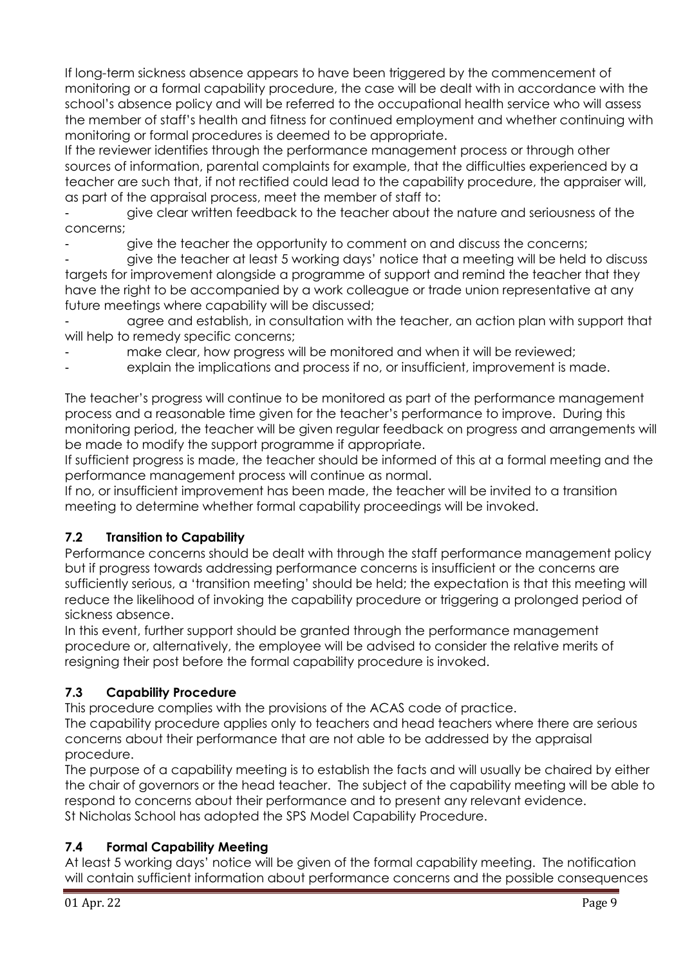If long-term sickness absence appears to have been triggered by the commencement of monitoring or a formal capability procedure, the case will be dealt with in accordance with the school's absence policy and will be referred to the occupational health service who will assess the member of staff's health and fitness for continued employment and whether continuing with monitoring or formal procedures is deemed to be appropriate.

If the reviewer identifies through the performance management process or through other sources of information, parental complaints for example, that the difficulties experienced by a teacher are such that, if not rectified could lead to the capability procedure, the appraiser will, as part of the appraisal process, meet the member of staff to:

- give clear written feedback to the teacher about the nature and seriousness of the concerns;

give the teacher the opportunity to comment on and discuss the concerns;

- give the teacher at least 5 working days' notice that a meeting will be held to discuss targets for improvement alongside a programme of support and remind the teacher that they have the right to be accompanied by a work colleague or trade union representative at any future meetings where capability will be discussed;

agree and establish, in consultation with the teacher, an action plan with support that will help to remedy specific concerns;

make clear, how progress will be monitored and when it will be reviewed;

explain the implications and process if no, or insufficient, improvement is made.

The teacher's progress will continue to be monitored as part of the performance management process and a reasonable time given for the teacher's performance to improve. During this monitoring period, the teacher will be given regular feedback on progress and arrangements will be made to modify the support programme if appropriate.

If sufficient progress is made, the teacher should be informed of this at a formal meeting and the performance management process will continue as normal.

If no, or insufficient improvement has been made, the teacher will be invited to a transition meeting to determine whether formal capability proceedings will be invoked.

## **7.2 Transition to Capability**

Performance concerns should be dealt with through the staff performance management policy but if progress towards addressing performance concerns is insufficient or the concerns are sufficiently serious, a 'transition meeting' should be held; the expectation is that this meeting will reduce the likelihood of invoking the capability procedure or triggering a prolonged period of sickness absence.

In this event, further support should be granted through the performance management procedure or, alternatively, the employee will be advised to consider the relative merits of resigning their post before the formal capability procedure is invoked.

## **7.3 Capability Procedure**

This procedure complies with the provisions of the ACAS code of practice.

The capability procedure applies only to teachers and head teachers where there are serious concerns about their performance that are not able to be addressed by the appraisal procedure.

The purpose of a capability meeting is to establish the facts and will usually be chaired by either the chair of governors or the head teacher. The subject of the capability meeting will be able to respond to concerns about their performance and to present any relevant evidence. St Nicholas School has adopted the SPS Model Capability Procedure.

## **7.4 Formal Capability Meeting**

At least 5 working days' notice will be given of the formal capability meeting. The notification will contain sufficient information about performance concerns and the possible consequences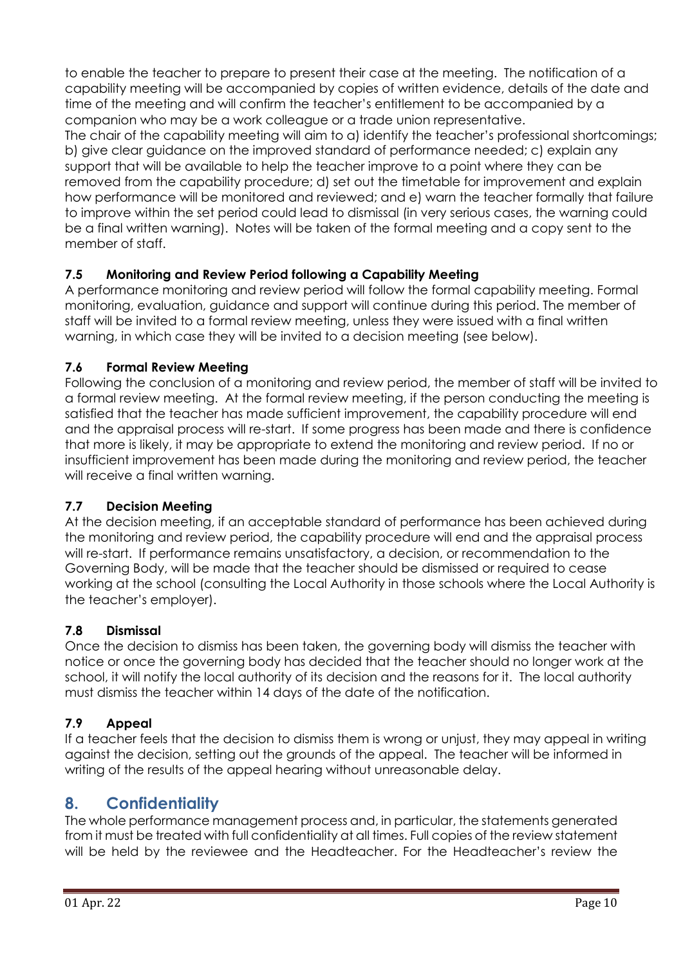to enable the teacher to prepare to present their case at the meeting. The notification of a capability meeting will be accompanied by copies of written evidence, details of the date and time of the meeting and will confirm the teacher's entitlement to be accompanied by a companion who may be a work colleague or a trade union representative.

The chair of the capability meeting will aim to a) identify the teacher's professional shortcomings; b) give clear guidance on the improved standard of performance needed; c) explain any support that will be available to help the teacher improve to a point where they can be removed from the capability procedure; d) set out the timetable for improvement and explain how performance will be monitored and reviewed; and e) warn the teacher formally that failure to improve within the set period could lead to dismissal (in very serious cases, the warning could be a final written warning). Notes will be taken of the formal meeting and a copy sent to the member of staff.

#### **7.5 Monitoring and Review Period following a Capability Meeting**

A performance monitoring and review period will follow the formal capability meeting. Formal monitoring, evaluation, guidance and support will continue during this period. The member of staff will be invited to a formal review meeting, unless they were issued with a final written warning, in which case they will be invited to a decision meeting (see below).

#### **7.6 Formal Review Meeting**

Following the conclusion of a monitoring and review period, the member of staff will be invited to a formal review meeting. At the formal review meeting, if the person conducting the meeting is satisfied that the teacher has made sufficient improvement, the capability procedure will end and the appraisal process will re-start. If some progress has been made and there is confidence that more is likely, it may be appropriate to extend the monitoring and review period. If no or insufficient improvement has been made during the monitoring and review period, the teacher will receive a final written warning.

#### **7.7 Decision Meeting**

At the decision meeting, if an acceptable standard of performance has been achieved during the monitoring and review period, the capability procedure will end and the appraisal process will re-start. If performance remains unsatisfactory, a decision, or recommendation to the Governing Body, will be made that the teacher should be dismissed or required to cease working at the school (consulting the Local Authority in those schools where the Local Authority is the teacher's employer).

## **7.8 Dismissal**

Once the decision to dismiss has been taken, the governing body will dismiss the teacher with notice or once the governing body has decided that the teacher should no longer work at the school, it will notify the local authority of its decision and the reasons for it. The local authority must dismiss the teacher within 14 days of the date of the notification.

## **7.9 Appeal**

If a teacher feels that the decision to dismiss them is wrong or unjust, they may appeal in writing against the decision, setting out the grounds of the appeal. The teacher will be informed in writing of the results of the appeal hearing without unreasonable delay.

## **8. Confidentiality**

The whole performance management process and, in particular, the statements generated from it must be treated with full confidentiality at all times. Full copies of the review statement will be held by the reviewee and the Headteacher. For the Headteacher's review the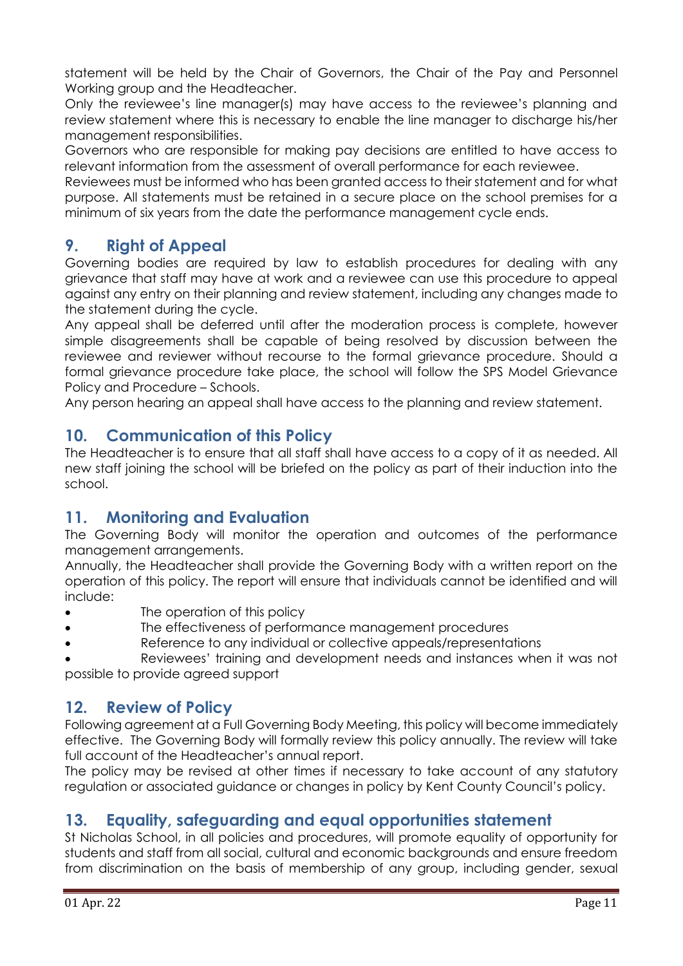statement will be held by the Chair of Governors, the Chair of the Pay and Personnel Working group and the Headteacher.

Only the reviewee's line manager(s) may have access to the reviewee's planning and review statement where this is necessary to enable the line manager to discharge his/her management responsibilities.

Governors who are responsible for making pay decisions are entitled to have access to relevant information from the assessment of overall performance for each reviewee.

Reviewees must be informed who has been granted access to their statement and for what purpose. All statements must be retained in a secure place on the school premises for a minimum of six years from the date the performance management cycle ends.

## <span id="page-10-0"></span>**9. Right of Appeal**

Governing bodies are required by law to establish procedures for dealing with any grievance that staff may have at work and a reviewee can use this procedure to appeal against any entry on their planning and review statement, including any changes made to the statement during the cycle.

Any appeal shall be deferred until after the moderation process is complete, however simple disagreements shall be capable of being resolved by discussion between the reviewee and reviewer without recourse to the formal grievance procedure. Should a formal grievance procedure take place, the school will follow the SPS Model Grievance Policy and Procedure – Schools.

Any person hearing an appeal shall have access to the planning and review statement.

## <span id="page-10-1"></span>**10. Communication of this Policy**

The Headteacher is to ensure that all staff shall have access to a copy of it as needed. All new staff joining the school will be briefed on the policy as part of their induction into the school.

## <span id="page-10-2"></span>**11. Monitoring and Evaluation**

The Governing Body will monitor the operation and outcomes of the performance management arrangements.

Annually, the Headteacher shall provide the Governing Body with a written report on the operation of this policy. The report will ensure that individuals cannot be identified and will include:

- The operation of this policy
- The effectiveness of performance management procedures
- Reference to any individual or collective appeals/representations

 Reviewees' training and development needs and instances when it was not possible to provide agreed support

## <span id="page-10-3"></span>**12. Review of Policy**

Following agreement at a Full Governing Body Meeting, this policy will become immediately effective. The Governing Body will formally review this policy annually. The review will take full account of the Headteacher's annual report.

The policy may be revised at other times if necessary to take account of any statutory regulation or associated guidance or changes in policy by Kent County Council's policy.

## **13. Equality, safeguarding and equal opportunities statement**

St Nicholas School, in all policies and procedures, will promote equality of opportunity for students and staff from all social, cultural and economic backgrounds and ensure freedom from discrimination on the basis of membership of any group, including gender, sexual